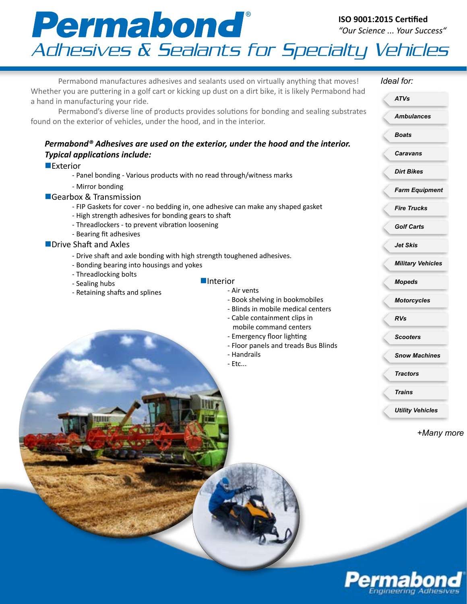## **ISO 9001:2015 Certified** *"Our Science ... Your Success"* **Permabond** Iso 9001:2015 Certified<br>Adhesives & Sealants for Specialty Vehicles

Permabond manufactures adhesives and sealants used on virtually anything that moves! Whether you are puttering in a golf cart or kicking up dust on a dirt bike, it is likely Permabond had a hand in manufacturing your ride. Permabond's diverse line of products provides solutions for bonding and sealing substrates found on the exterior of vehicles, under the hood, and in the interior. *Permabond® Adhesives are used on the exterior, under the hood and the interior. Typical applications include:* **LExterior** - Panel bonding - Various products with no read through/witness marks - Mirror bonding ■Gearbox & Transmission - FIP Gaskets for cover - no bedding in, one adhesive can make any shaped gasket - High strength adhesives for bonding gears to shaft - Threadlockers - to prevent vibration loosening - Bearing fit adhesives **Drive Shaft and Axles** - Drive shaft and axle bonding with high strength toughened adhesives. - Bonding bearing into housings and yokes - Threadlocking bolts - Sealing hubs - Retaining shafts and splines *Ideal for: Ambulances Boats Caravans Dirt Bikes Farm Equipment Fire Trucks Golf Carts Jet Skis Military Vehicles Mopeds Motorcycles RVs Scooters Snow Machines Tractors Trains Utility Vehicles ATVs +Many more*  **n**Interior - Air vents - Book shelving in bookmobiles - Blinds in mobile medical centers - Cable containment clips in mobile command centers - Emergency floor lighting - Floor panels and treads Bus Blinds - Handrails - Etc...